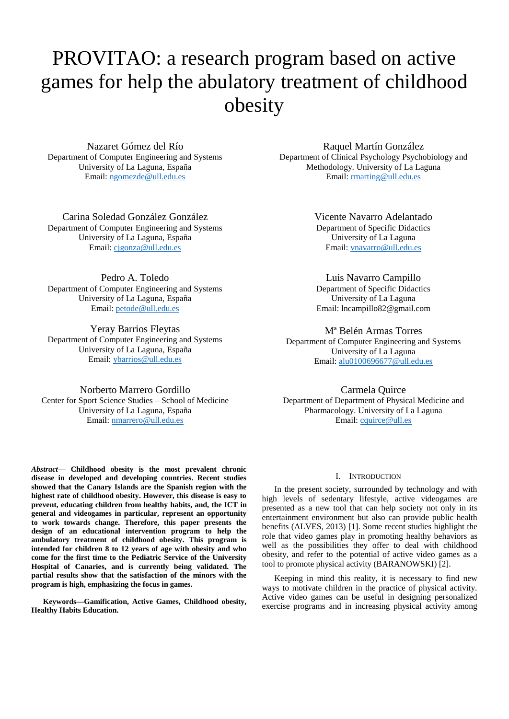# PROVITAO: a research program based on active games for help the abulatory treatment of childhood obesity

Nazaret Gómez del Río Department of Computer Engineering and Systems University of La Laguna, España Email: [ngomezde@ull.edu.es](mailto:ngomezde@ull.edu.es)

Carina Soledad González González Department of Computer Engineering and Systems University of La Laguna, España Email: [cjgonza@ull.edu.es](mailto:cjgonza@ull.edu.es)

Pedro A. Toledo Department of Computer Engineering and Systems University of La Laguna, España Email[: petode@ull.edu.es](mailto:petode@ull.edu.es)

Yeray Barrios Fleytas Department of Computer Engineering and Systems University of La Laguna, España Email: [ybarrios@ull.edu.es](mailto:ybarrios@ull.edu.es)

Norberto Marrero Gordillo Center for Sport Science Studies – School of Medicine University of La Laguna, España Email[: nmarrero@ull.edu.es](mailto:nmarrero@ull.edu.es)

*Abstract***— Childhood obesity is the most prevalent chronic disease in developed and developing countries. Recent studies showed that the Canary Islands are the Spanish region with the highest rate of childhood obesity. However, this disease is easy to prevent, educating children from healthy habits, and, the ICT in general and videogames in particular, represent an opportunity to work towards change. Therefore, this paper presents the design of an educational intervention program to help the ambulatory treatment of childhood obesity. This program is intended for children 8 to 12 years of age with obesity and who come for the first time to the Pediatric Service of the University Hospital of Canaries, and is currently being validated. The partial results show that the satisfaction of the minors with the program is high, emphasizing the focus in games.** 

**Keywords—Gamification, Active Games, Childhood obesity, Healthy Habits Education.**

Raquel Martín González Department of Clinical Psychology Psychobiology and Methodology. University of La Laguna Email: marting@ull.edu.es

> Vicente Navarro Adelantado Department of Specific Didactics University of La Laguna Email: [vnavarro@ull.edu.es](mailto:vnavarro@ull.edu.es)

Luis Navarro Campillo Department of Specific Didactics University of La Laguna Email: lncampillo82@gmail.com

Mª Belén Armas Torres Department of Computer Engineering and Systems University of La Laguna Email: [alu0100696677@ull.edu.es](mailto:alu0100696677@ull.edu.es)

Carmela Quirce Department of Department of Physical Medicine and Pharmacology. University of La Laguna Email: [cquirce@ull.es](mailto:cquirce@ull.es)

## I. INTRODUCTION

In the present society, surrounded by technology and with high levels of sedentary lifestyle, active videogames are presented as a new tool that can help society not only in its entertainment environment but also can provide public health benefits (ALVES, 2013) [1]. Some recent studies highlight the role that video games play in promoting healthy behaviors as well as the possibilities they offer to deal with childhood obesity, and refer to the potential of active video games as a tool to promote physical activity (BARANOWSKI) [2].

Keeping in mind this reality, it is necessary to find new ways to motivate children in the practice of physical activity. Active video games can be useful in designing personalized exercise programs and in increasing physical activity among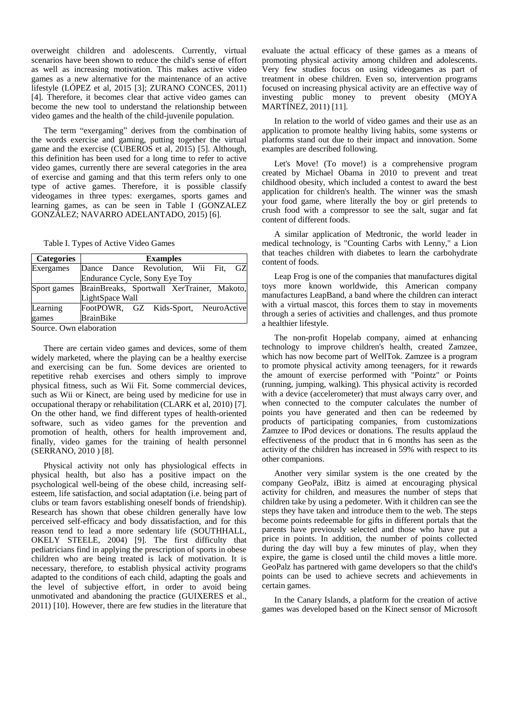overweight children and adolescents. Currently, virtual scenarios have been shown to reduce the child's sense of effort as well as increasing motivation. This makes active video games as a new alternative for the maintenance of an active lifestyle (LÓPEZ et al, 2015 [3]; ZURANO CONCES, 2011) [4]. Therefore, it becomes clear that active video games can become the new tool to understand the relationship between video games and the health of the child-juvenile population.

The term "exergaming" derives from the combination of the words exercise and gaming, putting together the virtual game and the exercise (CUBEROS et al, 2015) [5]. Although, this definition has been used for a long time to refer to active video games, currently there are several categories in the area of exercise and gaming and that this term refers only to one type of active games. Therefore, it is possible classify videogames in three types: exergames, sports games and learning games, as can be seen in Table I (GONZALEZ GONZÁLEZ; NAVARRO ADELANTADO, 2015) [6].

Table I. Types of Active Video Games

|  |                  |                 |                                                  | GZ                                                                                                                     |
|--|------------------|-----------------|--------------------------------------------------|------------------------------------------------------------------------------------------------------------------------|
|  |                  |                 |                                                  |                                                                                                                        |
|  |                  |                 |                                                  |                                                                                                                        |
|  |                  |                 |                                                  |                                                                                                                        |
|  |                  |                 |                                                  |                                                                                                                        |
|  |                  |                 |                                                  |                                                                                                                        |
|  | <b>BrainBike</b> | LightSpace Wall | <b>Examples</b><br>Endurance Cycle, Sony Eye Toy | Dance Dance Revolution, Wii Fit,<br>BrainBreaks, Sportwall XerTrainer, Makoto,<br>FootPOWR, GZ Kids-Sport, NeuroActive |

Source. Own elaboration

There are certain video games and devices, some of them widely marketed, where the playing can be a healthy exercise and exercising can be fun. Some devices are oriented to repetitive rehab exercises and others simply to improve physical fitness, such as Wii Fit. Some commercial devices, such as Wii or Kinect, are being used by medicine for use in occupational therapy or rehabilitation (CLARK et al, 2010) [7]. On the other hand, we find different types of health-oriented software, such as video games for the prevention and promotion of health, others for health improvement and, finally, video games for the training of health personnel (SERRANO, 2010 ) [8].

Physical activity not only has physiological effects in physical health, but also has a positive impact on the psychological well-being of the obese child, increasing selfesteem, life satisfaction, and social adaptation (i.e. being part of clubs or team favors establishing oneself bonds of friendship). Research has shown that obese children generally have low perceived self-efficacy and body dissatisfaction, and for this reason tend to lead a more sedentary life (SOUTHHALL, OKELY STEELE, 2004) [9]. The first difficulty that pediatricians find in applying the prescription of sports in obese children who are being treated is lack of motivation. It is necessary, therefore, to establish physical activity programs adapted to the conditions of each child, adapting the goals and the level of subjective effort, in order to avoid being unmotivated and abandoning the practice (GUIXERES et al., 2011) [10]. However, there are few studies in the literature that

evaluate the actual efficacy of these games as a means of promoting physical activity among children and adolescents. Very few studies focus on using videogames as part of treatment in obese children. Even so, intervention programs focused on increasing physical activity are an effective way of investing public money to prevent obesity (MOYA MARTÍNEZ, 2011) [11].

In relation to the world of video games and their use as an application to promote healthy living habits, some systems or platforms stand out due to their impact and innovation. Some examples are described following.

Let's Move! (To move!) is a comprehensive program created by Michael Obama in 2010 to prevent and treat childhood obesity, which included a contest to award the best application for children's health. The winner was the smash your food game, where literally the boy or girl pretends to crush food with a compressor to see the salt, sugar and fat content of different foods.

A similar application of Medtronic, the world leader in medical technology, is "Counting Carbs with Lenny," a Lion that teaches children with diabetes to learn the carbohydrate content of foods.

Leap Frog is one of the companies that manufactures digital toys more known worldwide, this American company manufactures LeapBand, a band where the children can interact with a virtual mascot, this forces them to stay in movements through a series of activities and challenges, and thus promote a healthier lifestyle.

The non-profit Hopelab company, aimed at enhancing technology to improve children's health, created Zamzee, which has now become part of WellTok. Zamzee is a program to promote physical activity among teenagers, for it rewards the amount of exercise performed with "Pointz" or Points (running, jumping, walking). This physical activity is recorded with a device (accelerometer) that must always carry over, and when connected to the computer calculates the number of points you have generated and then can be redeemed by products of participating companies, from customizations Zamzee to IPod devices or donations. The results applaud the effectiveness of the product that in 6 months has seen as the activity of the children has increased in 59% with respect to its other companions.

Another very similar system is the one created by the company GeoPalz, iBitz is aimed at encouraging physical activity for children, and measures the number of steps that children take by using a pedometer. With it children can see the steps they have taken and introduce them to the web. The steps become points redeemable for gifts in different portals that the parents have previously selected and those who have put a price in points. In addition, the number of points collected during the day will buy a few minutes of play, when they expire, the game is closed until the child moves a little more. GeoPalz has partnered with game developers so that the child's points can be used to achieve secrets and achievements in certain games.

In the Canary Islands, a platform for the creation of active games was developed based on the Kinect sensor of Microsoft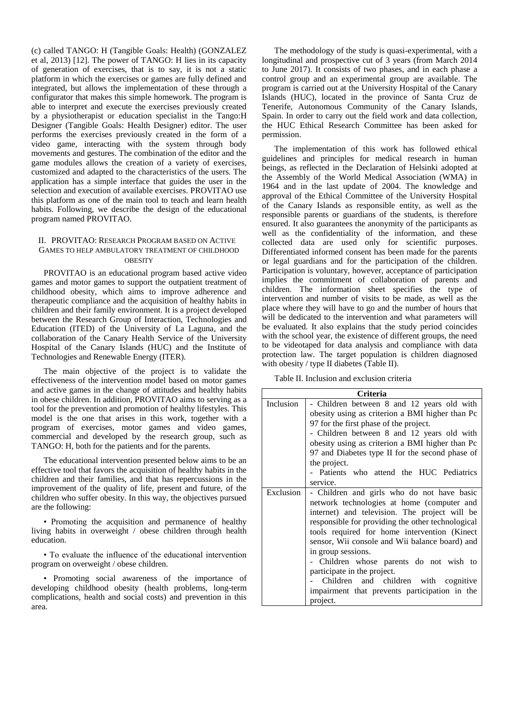(c) called TANGO: H (Tangible Goals: Health) (GONZALEZ et al, 2013) [12]. The power of TANGO: H lies in its capacity of generation of exercises, that is to say, it is not a static platform in which the exercises or games are fully defined and integrated, but allows the implementation of these through a configurator that makes this simple homework. The program is able to interpret and execute the exercises previously created by a physiotherapist or education specialist in the Tango:H Designer (Tangible Goals: Health Designer) editor. The user performs the exercises previously created in the form of a video game, interacting with the system through body movements and gestures. The combination of the editor and the game modules allows the creation of a variety of exercises, customized and adapted to the characteristics of the users. The application has a simple interface that guides the user in the selection and execution of available exercises. PROVITAO use this platform as one of the main tool to teach and learn health habits. Following, we describe the design of the educational program named PROVITAO.

## II. PROVITAO: RESEARCH PROGRAM BASED ON ACTIVE GAMES TO HELP AMBULATORY TREATMENT OF CHILDHOOD **OBESITY**

PROVITAO is an educational program based active video games and motor games to support the outpatient treatment of childhood obesity, which aims to improve adherence and therapeutic compliance and the acquisition of healthy habits in children and their family environment. It is a project developed between the Research Group of Interaction, Technologies and Education (ITED) of the University of La Laguna, and the collaboration of the Canary Health Service of the University Hospital of the Canary Islands (HUC) and the Institute of Technologies and Renewable Energy (ITER).

The main objective of the project is to validate the effectiveness of the intervention model based on motor games and active games in the change of attitudes and healthy habits in obese children. In addition, PROVITAO aims to serving as a tool for the prevention and promotion of healthy lifestyles. This model is the one that arises in this work, together with a program of exercises, motor games and video games, commercial and developed by the research group, such as TANGO: H, both for the patients and for the parents.

The educational intervention presented below aims to be an effective tool that favors the acquisition of healthy habits in the children and their families, and that has repercussions in the improvement of the quality of life, present and future, of the children who suffer obesity. In this way, the objectives pursued are the following:

• Promoting the acquisition and permanence of healthy living habits in overweight / obese children through health education.

• To evaluate the influence of the educational intervention program on overweight / obese children.

• Promoting social awareness of the importance of developing childhood obesity (health problems, long-term complications, health and social costs) and prevention in this area.

The methodology of the study is quasi-experimental, with a longitudinal and prospective cut of 3 years (from March 2014) to June 2017). It consists of two phases, and in each phase a control group and an experimental group are available. The program is carried out at the University Hospital of the Canary Islands (HUC), located in the province of Santa Cruz de Tenerife, Autonomous Community of the Canary Islands, Spain. In order to carry out the field work and data collection, the HUC Ethical Research Committee has been asked for permission.

The implementation of this work has followed ethical guidelines and principles for medical research in human beings, as reflected in the Declaration of Helsinki adopted at the Assembly of the World Medical Association (WMA) in 1964 and in the last update of 2004. The knowledge and approval of the Ethical Committee of the University Hospital of the Canary Islands as responsible entity, as well as the responsible parents or guardians of the students, is therefore ensured. It also guarantees the anonymity of the participants as well as the confidentiality of the information, and these collected data are used only for scientific purposes. Differentiated informed consent has been made for the parents or legal guardians and for the participation of the children. Participation is voluntary, however, acceptance of participation implies the commitment of collaboration of parents and children. The information sheet specifies the type of intervention and number of visits to be made, as well as the place where they will have to go and the number of hours that will be dedicated to the intervention and what parameters will be evaluated. It also explains that the study period coincides with the school year, the existence of different groups, the need to be videotaped for data analysis and compliance with data protection law. The target population is children diagnosed with obesity / type II diabetes (Table II).

Table II. Inclusion and exclusion criteria

|           | Criteria                                          |  |  |  |
|-----------|---------------------------------------------------|--|--|--|
| Inclusion | - Children between 8 and 12 years old with        |  |  |  |
|           | obesity using as criterion a BMI higher than Pc   |  |  |  |
|           | 97 for the first phase of the project.            |  |  |  |
|           | - Children between 8 and 12 years old with        |  |  |  |
|           | obesity using as criterion a BMI higher than Pc   |  |  |  |
|           | 97 and Diabetes type II for the second phase of   |  |  |  |
|           | the project.                                      |  |  |  |
|           | - Patients who attend the HUC Pediatrics          |  |  |  |
|           | service.                                          |  |  |  |
| Exclusion | - Children and girls who do not have basic        |  |  |  |
|           | network technologies at home (computer and        |  |  |  |
|           | internet) and television. The project will be     |  |  |  |
|           | responsible for providing the other technological |  |  |  |
|           | tools required for home intervention (Kinect      |  |  |  |
|           | sensor, Wii console and Wii balance board) and    |  |  |  |
|           | in group sessions.                                |  |  |  |
|           | - Children whose parents do not wish to           |  |  |  |
|           | participate in the project.                       |  |  |  |
|           | Children and children with cognitive              |  |  |  |
|           | impairment that prevents participation in the     |  |  |  |
|           | project.                                          |  |  |  |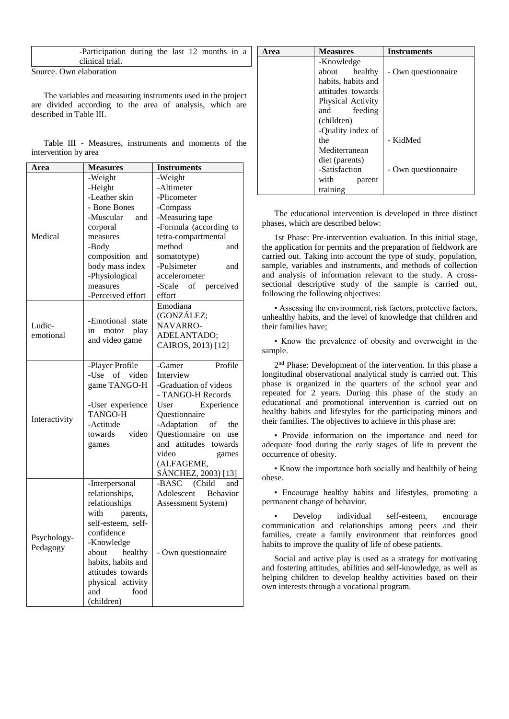|                         | -Participation during the last 12 months in a |  |  |  |  |  |  |  |
|-------------------------|-----------------------------------------------|--|--|--|--|--|--|--|
|                         | clinical trial.                               |  |  |  |  |  |  |  |
| Source. Own elaboration |                                               |  |  |  |  |  |  |  |

The variables and measuring instruments used in the projection are divided according to the area of analysis, which a described in Table III.

|                      |  | Table III - Measures, instruments and moments of the |  |  |
|----------------------|--|------------------------------------------------------|--|--|
| intervention by area |  |                                                      |  |  |

| Area          | <b>Measures</b>     | <b>Instruments</b>            |
|---------------|---------------------|-------------------------------|
|               | -Weight             | -Weight                       |
|               | -Height             | -Altimeter                    |
|               | -Leather skin       | -Plicometer                   |
|               | - Bone Bones        | -Compass                      |
|               | -Muscular<br>and    | -Measuring tape               |
|               | corporal            | -Formula (according to        |
| Medical       | measures            | tetra-compartmental           |
|               | -Body               | method<br>and                 |
|               | composition and     | somatotype)                   |
|               | body mass index     | -Pulsimeter<br>and            |
|               | -Physiological      | accelerometer                 |
|               | measures            | -Scale of<br>perceived        |
|               | -Perceived effort   | effort                        |
|               |                     | Emodiana                      |
|               |                     | (GONZÁLEZ;                    |
| Ludic-        | -Emotional state    | NAVARRO-                      |
| emotional     | in<br>motor<br>play | ADELANTADO;                   |
|               | and video game      | CAIROS, 2013) [12]            |
|               |                     |                               |
|               | -Player Profile     | Profile<br>-Gamer             |
|               | -Use<br>of<br>video | Interview                     |
|               | game TANGO-H        | -Graduation of videos         |
|               |                     | - TANGO-H Records             |
|               | -User experience    | User<br>Experience            |
|               | <b>TANGO-H</b>      | Questionnaire                 |
| Interactivity | -Actitude           | -Adaptation<br>of<br>the      |
|               | video<br>towards    | Questionnaire<br>on<br>use    |
|               | games               | and attitudes<br>towards      |
|               |                     | video<br>games                |
|               |                     | (ALFAGEME,                    |
|               |                     | SÁNCHEZ, 2003) [13]           |
|               | -Interpersonal      | -BASC<br>(Child<br>and        |
|               | relationships,      | Adolescent<br><b>Behavior</b> |
|               | relationships       | Assessment System)            |
| Psychology-   | with<br>parents,    |                               |
|               | self-esteem, self-  |                               |
|               | confidence          |                               |
|               | -Knowledge          |                               |
| Pedagogy      | healthy<br>about    | - Own questionnaire           |
|               | habits, habits and  |                               |
|               | attitudes towards   |                               |
|               | physical activity   |                               |
|               | and<br>food         |                               |
|               | (children)          |                               |

| a   | Area | <b>Measures</b>    | <b>Instruments</b>  |
|-----|------|--------------------|---------------------|
|     |      | -Knowledge         |                     |
|     |      | about<br>healthy   | - Own questionnaire |
|     |      | habits, habits and |                     |
| ect |      | attitudes towards  |                     |
| ıre |      | Physical Activity  |                     |
|     |      | feeding<br>and     |                     |
|     |      | (children)         |                     |
|     |      | -Quality index of  |                     |
| he  |      | the                | - KidMed            |
|     |      | Mediterranean      |                     |
|     |      | diet (parents)     |                     |
|     |      | -Satisfaction      | - Own questionnaire |
|     |      | with<br>parent     |                     |
|     |      | training           |                     |

The educational intervention is developed in three distinct phases, which are described below:

1st Phase: Pre-intervention evaluation. In this initial stage, the application for permits and the preparation of fieldwork are carried out. Taking into account the type of study, population, sample, variables and instruments, and methods of collection and analysis of information relevant to the study. A crosssectional descriptive study of the sample is carried out, following the following objectives:

• Assessing the environment, risk factors, protective factors, unhealthy habits, and the level of knowledge that children and their families have;

• Know the prevalence of obesity and overweight in the sample.

2<sup>nd</sup> Phase: Development of the intervention. In this phase a longitudinal observational analytical study is carried out. This phase is organized in the quarters of the school year and repeated for 2 years. During this phase of the study an educational and promotional intervention is carried out on healthy habits and lifestyles for the participating minors and their families. The objectives to achieve in this phase are:

• Provide information on the importance and need for adequate food during the early stages of life to prevent the occurrence of obesity.

• Know the importance both socially and healthily of being obese.

• Encourage healthy habits and lifestyles, promoting a permanent change of behavior.

• Develop individual self-esteem, encourage communication and relationships among peers and their families, create a family environment that reinforces good habits to improve the quality of life of obese patients.

Social and active play is used as a strategy for motivating and fostering attitudes, abilities and self-knowledge, as well as helping children to develop healthy activities based on their own interests through a vocational program.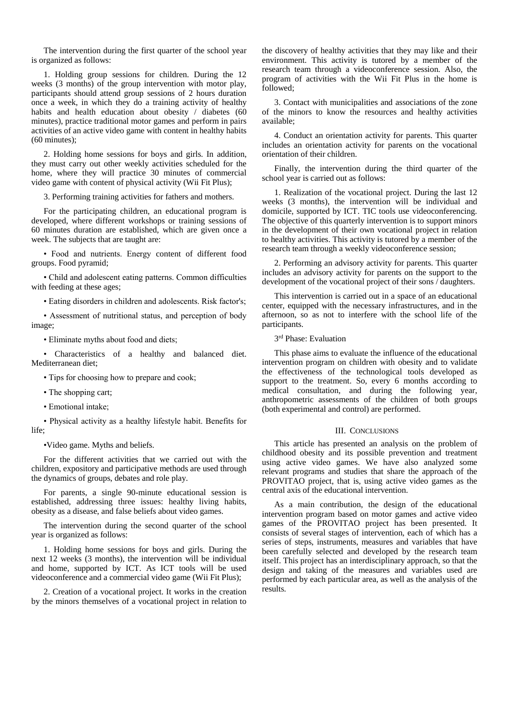The intervention during the first quarter of the school year is organized as follows:

1. Holding group sessions for children. During the 12 weeks (3 months) of the group intervention with motor play, participants should attend group sessions of 2 hours duration once a week, in which they do a training activity of healthy habits and health education about obesity / diabetes (60 minutes), practice traditional motor games and perform in pairs activities of an active video game with content in healthy habits (60 minutes);

2. Holding home sessions for boys and girls. In addition, they must carry out other weekly activities scheduled for the home, where they will practice 30 minutes of commercial video game with content of physical activity (Wii Fit Plus);

3. Performing training activities for fathers and mothers.

For the participating children, an educational program is developed, where different workshops or training sessions of 60 minutes duration are established, which are given once a week. The subjects that are taught are:

• Food and nutrients. Energy content of different food groups. Food pyramid;

• Child and adolescent eating patterns. Common difficulties with feeding at these ages;

• Eating disorders in children and adolescents. Risk factor's;

• Assessment of nutritional status, and perception of body image;

• Eliminate myths about food and diets;

• Characteristics of a healthy and balanced diet. Mediterranean diet;

• Tips for choosing how to prepare and cook;

- The shopping cart;
- Emotional intake;

• Physical activity as a healthy lifestyle habit. Benefits for life;

•Video game. Myths and beliefs.

For the different activities that we carried out with the children, expository and participative methods are used through the dynamics of groups, debates and role play.

For parents, a single 90-minute educational session is established, addressing three issues: healthy living habits, obesity as a disease, and false beliefs about video games.

The intervention during the second quarter of the school year is organized as follows:

1. Holding home sessions for boys and girls. During the next 12 weeks (3 months), the intervention will be individual and home, supported by ICT. As ICT tools will be used videoconference and a commercial video game (Wii Fit Plus);

2. Creation of a vocational project. It works in the creation by the minors themselves of a vocational project in relation to the discovery of healthy activities that they may like and their environment. This activity is tutored by a member of the research team through a videoconference session. Also, the program of activities with the Wii Fit Plus in the home is followed;

3. Contact with municipalities and associations of the zone of the minors to know the resources and healthy activities available;

4. Conduct an orientation activity for parents. This quarter includes an orientation activity for parents on the vocational orientation of their children.

Finally, the intervention during the third quarter of the school year is carried out as follows:

1. Realization of the vocational project. During the last 12 weeks (3 months), the intervention will be individual and domicile, supported by ICT. TIC tools use videoconferencing. The objective of this quarterly intervention is to support minors in the development of their own vocational project in relation to healthy activities. This activity is tutored by a member of the research team through a weekly videoconference session;

2. Performing an advisory activity for parents. This quarter includes an advisory activity for parents on the support to the development of the vocational project of their sons / daughters.

This intervention is carried out in a space of an educational center, equipped with the necessary infrastructures, and in the afternoon, so as not to interfere with the school life of the participants.

3 rd Phase: Evaluation

This phase aims to evaluate the influence of the educational intervention program on children with obesity and to validate the effectiveness of the technological tools developed as support to the treatment. So, every 6 months according to medical consultation, and during the following year, anthropometric assessments of the children of both groups (both experimental and control) are performed.

#### III. CONCLUSIONS

This article has presented an analysis on the problem of childhood obesity and its possible prevention and treatment using active video games. We have also analyzed some relevant programs and studies that share the approach of the PROVITAO project, that is, using active video games as the central axis of the educational intervention.

As a main contribution, the design of the educational intervention program based on motor games and active video games of the PROVITAO project has been presented. It consists of several stages of intervention, each of which has a series of steps, instruments, measures and variables that have been carefully selected and developed by the research team itself. This project has an interdisciplinary approach, so that the design and taking of the measures and variables used are performed by each particular area, as well as the analysis of the results.